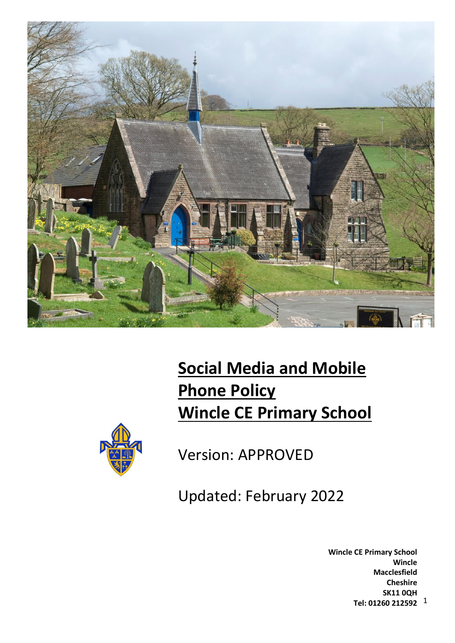

# **Social Media and Mobile Phone Policy Wincle CE Primary School**



Version: APPROVED

Updated: February 2022

1 **Tel: 01260 212592 Wincle CE Primary School Wincle Macclesfield Cheshire SK11 0QH**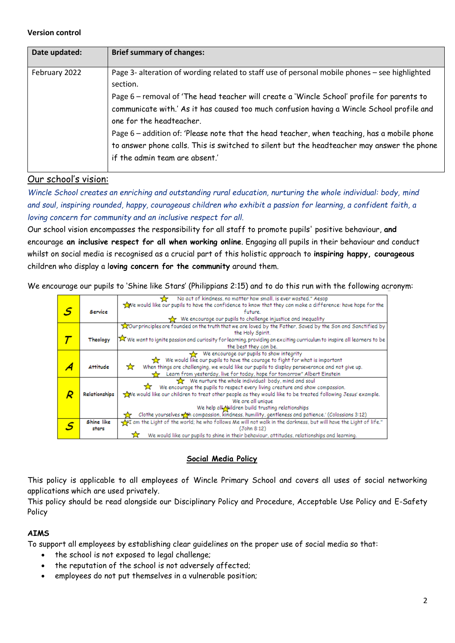#### **Version control**

| Date updated: | <b>Brief summary of changes:</b>                                                                                                                                                                                                                                                                                                                                                                                                                                                                                                                                 |
|---------------|------------------------------------------------------------------------------------------------------------------------------------------------------------------------------------------------------------------------------------------------------------------------------------------------------------------------------------------------------------------------------------------------------------------------------------------------------------------------------------------------------------------------------------------------------------------|
| February 2022 | Page 3- alteration of wording related to staff use of personal mobile phones - see highlighted<br>section.<br>Page 6 – removal of 'The head teacher will create a 'Wincle School' profile for parents to<br>communicate with.' As it has caused too much confusion having a Wincle School profile and<br>one for the headteacher.<br>Page 6 - addition of: 'Please note that the head teacher, when teaching, has a mobile phone<br>to answer phone calls. This is switched to silent but the headteacher may answer the phone<br>if the admin team are absent.' |

# Our school's vision:

*Wincle School creates an enriching and outstanding rural education, nurturing the whole individual: body, mind and soul, inspiring rounded, happy, courageous children who exhibit a passion for learning, a confident faith, a loving concern for community and an inclusive respect for all.*

Our school vision encompasses the responsibility for all staff to promote pupils' positive behaviour, **and**  encourage **an inclusive respect for all when working online**. Engaging all pupils in their behaviour and conduct whilst on social media is recognised as a crucial part of this holistic approach to **inspiring happy, courageous** children who display a l**oving concern for the community** around them.

We encourage our pupils to 'Shine like Stars' (Philippians 2:15) and to do this run with the following acronym:

|               | No act of kindness, no matter how small, is ever wasted." Aesop                                                        |
|---------------|------------------------------------------------------------------------------------------------------------------------|
|               | we would like our pupils to have the confidence to know that they can make a difference: have hope for the             |
| Service       | future.                                                                                                                |
|               | We encourage our pupils to challenge injustice and inequality                                                          |
|               | our principles are founded on the truth that we are loved by the Father, Saved by the Son and Sanctified by            |
|               | the Holy Spirit.                                                                                                       |
| Theology      | X We want to ignite passion and curiosity for learning, providing an exciting curriculum to inspire all learners to be |
|               | the best they can be.                                                                                                  |
|               | We encourage our pupils to show integrity                                                                              |
|               | We would like our pupils to have the courage to fight for what is important<br><b>XX</b>                               |
| Attitude      | When things are challenging, we would like our pupils to display perseverance and not give up.<br>☆                    |
|               | Learn from yesterday, live for today, hope for tomorrow" Albert Einstein                                               |
|               | We nurture the whole individual: body, mind and soul                                                                   |
|               | We encourage the pupils to respect every living creature and show compassion.<br>77                                    |
| Relationships | we would like our children to treat other people as they would like to be treated following Jesus' example.            |
|               | We are all unique                                                                                                      |
|               | We help all Nildren build trusting relationships                                                                       |
|               | Clothe yourselves with compassion, kindness, humility, gentleness and patience.' (Colossians 3:12)                     |
|               |                                                                                                                        |
| Shine like    | am the Light of the world; he who follows Me will not walk in the darkness, but will have the Light of life."          |
| stars         | (John 8:12)                                                                                                            |
|               | We would like our pupils to shine in their behaviour, attitudes, relationships and learning.                           |

## **Social Media Policy**

This policy is applicable to all employees of Wincle Primary School and covers all uses of social networking applications which are used privately.

This policy should be read alongside our Disciplinary Policy and Procedure, Acceptable Use Policy and E-Safety Policy

## **AIMS**

To support all employees by establishing clear guidelines on the proper use of social media so that:

- the school is not exposed to legal challenge;
- the reputation of the school is not adversely affected;
- employees do not put themselves in a vulnerable position;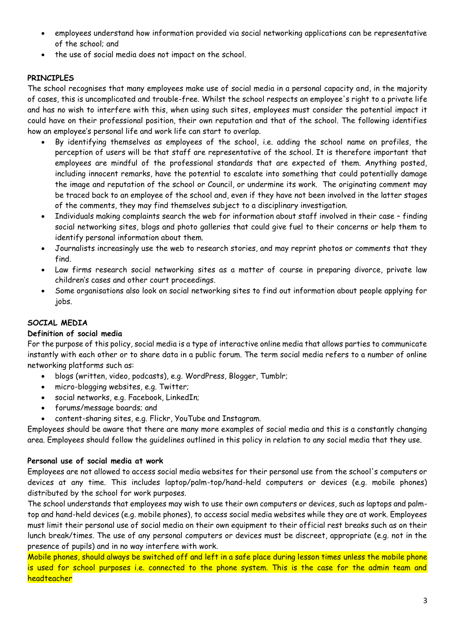- employees understand how information provided via social networking applications can be representative of the school; and
- the use of social media does not impact on the school.

# **PRINCIPLES**

The school recognises that many employees make use of social media in a personal capacity and, in the majority of cases, this is uncomplicated and trouble-free. Whilst the school respects an employee's right to a private life and has no wish to interfere with this, when using such sites, employees must consider the potential impact it could have on their professional position, their own reputation and that of the school. The following identifies how an employee's personal life and work life can start to overlap.

- By identifying themselves as employees of the school, i.e. adding the school name on profiles, the perception of users will be that staff are representative of the school. It is therefore important that employees are mindful of the professional standards that are expected of them. Anything posted, including innocent remarks, have the potential to escalate into something that could potentially damage the image and reputation of the school or Council, or undermine its work. The originating comment may be traced back to an employee of the school and, even if they have not been involved in the latter stages of the comments, they may find themselves subject to a disciplinary investigation.
- Individuals making complaints search the web for information about staff involved in their case finding social networking sites, blogs and photo galleries that could give fuel to their concerns or help them to identify personal information about them.
- Journalists increasingly use the web to research stories, and may reprint photos or comments that they find.
- Law firms research social networking sites as a matter of course in preparing divorce, private law children's cases and other court proceedings.
- Some organisations also look on social networking sites to find out information about people applying for jobs.

# **SOCIAL MEDIA**

## **Definition of social media**

For the purpose of this policy, social media is a type of interactive online media that allows parties to communicate instantly with each other or to share data in a public forum. The term social media refers to a number of online networking platforms such as:

- blogs (written, video, podcasts), e.g. WordPress, Blogger, Tumblr;
- micro-blogging websites, e.g. Twitter;
- social networks, e.g. Facebook, LinkedIn;
- forums/message boards; and
- content-sharing sites, e.g. Flickr, YouTube and Instagram.

Employees should be aware that there are many more examples of social media and this is a constantly changing area. Employees should follow the guidelines outlined in this policy in relation to any social media that they use.

## **Personal use of social media at work**

Employees are not allowed to access social media websites for their personal use from the school's computers or devices at any time. This includes laptop/palm-top/hand-held computers or devices (e.g. mobile phones) distributed by the school for work purposes.

The school understands that employees may wish to use their own computers or devices, such as laptops and palmtop and hand-held devices (e.g. mobile phones), to access social media websites while they are at work. Employees must limit their personal use of social media on their own equipment to their official rest breaks such as on their lunch break/times. The use of any personal computers or devices must be discreet, appropriate (e.g. not in the presence of pupils) and in no way interfere with work.

Mobile phones, should always be switched off and left in a safe place during lesson times unless the mobile phone is used for school purposes i.e. connected to the phone system. This is the case for the admin team and headteacher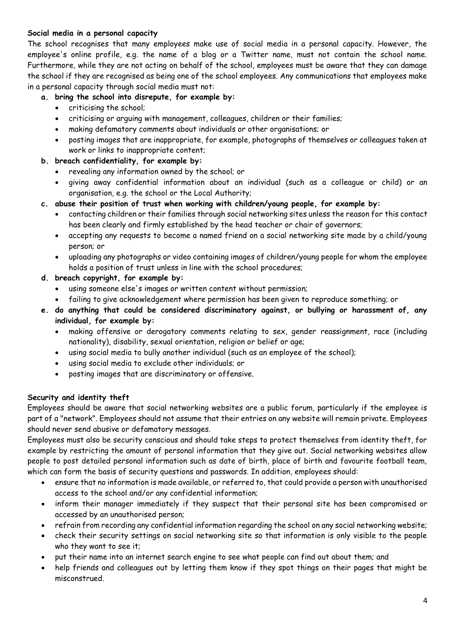# **Social media in a personal capacity**

The school recognises that many employees make use of social media in a personal capacity. However, the employee's online profile, e.g. the name of a blog or a Twitter name, must not contain the school name. Furthermore, while they are not acting on behalf of the school, employees must be aware that they can damage the school if they are recognised as being one of the school employees. Any communications that employees make in a personal capacity through social media must not:

# **a. bring the school into disrepute, for example by:**

- criticising the school;
- criticising or arguing with management, colleagues, children or their families;
- making defamatory comments about individuals or other organisations; or
- posting images that are inappropriate, for example, photographs of themselves or colleagues taken at work or links to inappropriate content;

# **b. breach confidentiality, for example by:**

- revealing any information owned by the school; or
- giving away confidential information about an individual (such as a colleague or child) or an organisation, e.g. the school or the Local Authority;
- **c. abuse their position of trust when working with children/young people, for example by:**
	- contacting children or their families through social networking sites unless the reason for this contact has been clearly and firmly established by the head teacher or chair of governors;
	- accepting any requests to become a named friend on a social networking site made by a child/young person; or
	- uploading any photographs or video containing images of children/young people for whom the employee holds a position of trust unless in line with the school procedures;
- **d. breach copyright, for example by:** 
	- using someone else's images or written content without permission;
	- failing to give acknowledgement where permission has been given to reproduce something; or
- **e. do anything that could be considered discriminatory against, or bullying or harassment of, any individual, for example by:** 
	- making offensive or derogatory comments relating to sex, gender reassignment, race (including nationality), disability, sexual orientation, religion or belief or age;
	- using social media to bully another individual (such as an employee of the school);
	- using social media to exclude other individuals; or
	- posting images that are discriminatory or offensive.

## **Security and identity theft**

Employees should be aware that social networking websites are a public forum, particularly if the employee is part of a "network". Employees should not assume that their entries on any website will remain private. Employees should never send abusive or defamatory messages.

Employees must also be security conscious and should take steps to protect themselves from identity theft, for example by restricting the amount of personal information that they give out. Social networking websites allow people to post detailed personal information such as date of birth, place of birth and favourite football team, which can form the basis of security questions and passwords. In addition, employees should:

- ensure that no information is made available, or referred to, that could provide a person with unauthorised access to the school and/or any confidential information;
- inform their manager immediately if they suspect that their personal site has been compromised or accessed by an unauthorised person;
- refrain from recording any confidential information regarding the school on any social networking website;
- check their security settings on social networking site so that information is only visible to the people who they want to see it;
- put their name into an internet search engine to see what people can find out about them; and
- help friends and colleagues out by letting them know if they spot things on their pages that might be misconstrued.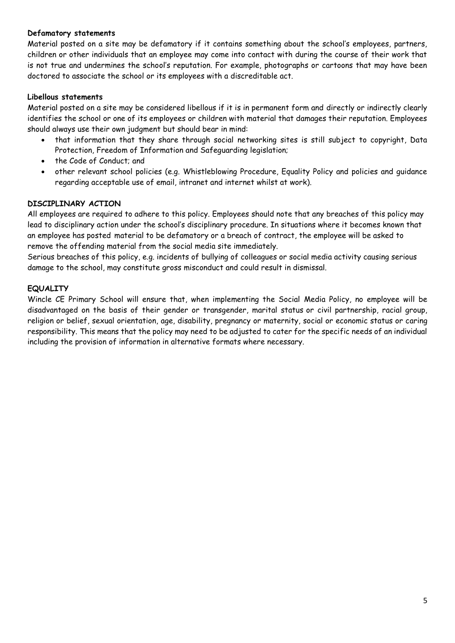## **Defamatory statements**

Material posted on a site may be defamatory if it contains something about the school's employees, partners, children or other individuals that an employee may come into contact with during the course of their work that is not true and undermines the school's reputation. For example, photographs or cartoons that may have been doctored to associate the school or its employees with a discreditable act.

## **Libellous statements**

Material posted on a site may be considered libellous if it is in permanent form and directly or indirectly clearly identifies the school or one of its employees or children with material that damages their reputation. Employees should always use their own judgment but should bear in mind:

- that information that they share through social networking sites is still subject to copyright, Data Protection, Freedom of Information and Safeguarding legislation;
- the Code of Conduct; and
- other relevant school policies (e.g. Whistleblowing Procedure, Equality Policy and policies and guidance regarding acceptable use of email, intranet and internet whilst at work).

# **DISCIPLINARY ACTION**

All employees are required to adhere to this policy. Employees should note that any breaches of this policy may lead to disciplinary action under the school's disciplinary procedure. In situations where it becomes known that an employee has posted material to be defamatory or a breach of contract, the employee will be asked to remove the offending material from the social media site immediately.

Serious breaches of this policy, e.g. incidents of bullying of colleagues or social media activity causing serious damage to the school, may constitute gross misconduct and could result in dismissal.

# **EQUALITY**

Wincle CE Primary School will ensure that, when implementing the Social Media Policy, no employee will be disadvantaged on the basis of their gender or transgender, marital status or civil partnership, racial group, religion or belief, sexual orientation, age, disability, pregnancy or maternity, social or economic status or caring responsibility. This means that the policy may need to be adjusted to cater for the specific needs of an individual including the provision of information in alternative formats where necessary.